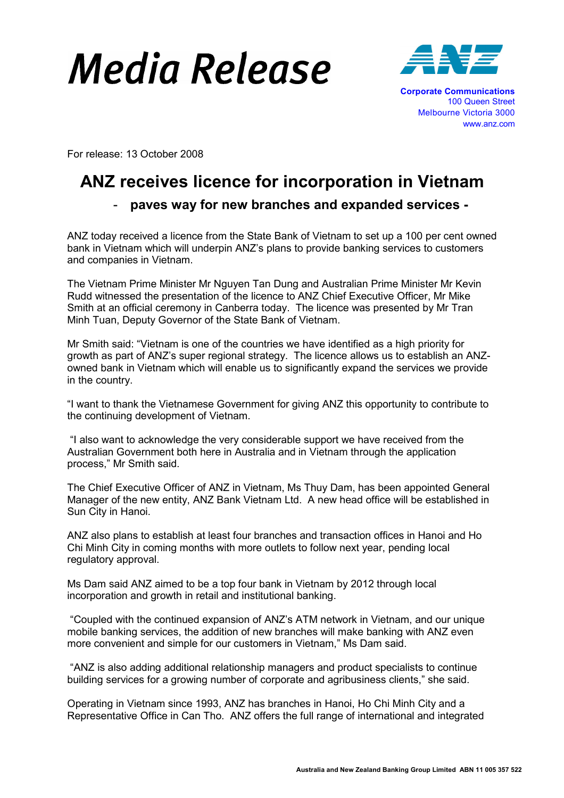## Media Release



For release: 13 October 2008

## ANZ receives licence for incorporation in Vietnam

## - paves way for new branches and expanded services -

ANZ today received a licence from the State Bank of Vietnam to set up a 100 per cent owned bank in Vietnam which will underpin ANZ's plans to provide banking services to customers and companies in Vietnam.

The Vietnam Prime Minister Mr Nguyen Tan Dung and Australian Prime Minister Mr Kevin Rudd witnessed the presentation of the licence to ANZ Chief Executive Officer, Mr Mike Smith at an official ceremony in Canberra today. The licence was presented by Mr Tran Minh Tuan, Deputy Governor of the State Bank of Vietnam.

Mr Smith said: "Vietnam is one of the countries we have identified as a high priority for growth as part of ANZ's super regional strategy. The licence allows us to establish an ANZowned bank in Vietnam which will enable us to significantly expand the services we provide in the country.

"I want to thank the Vietnamese Government for giving ANZ this opportunity to contribute to the continuing development of Vietnam.

 "I also want to acknowledge the very considerable support we have received from the Australian Government both here in Australia and in Vietnam through the application process," Mr Smith said.

The Chief Executive Officer of ANZ in Vietnam, Ms Thuy Dam, has been appointed General Manager of the new entity, ANZ Bank Vietnam Ltd. A new head office will be established in Sun City in Hanoi.

ANZ also plans to establish at least four branches and transaction offices in Hanoi and Ho Chi Minh City in coming months with more outlets to follow next year, pending local regulatory approval.

Ms Dam said ANZ aimed to be a top four bank in Vietnam by 2012 through local incorporation and growth in retail and institutional banking.

 "Coupled with the continued expansion of ANZ's ATM network in Vietnam, and our unique mobile banking services, the addition of new branches will make banking with ANZ even more convenient and simple for our customers in Vietnam," Ms Dam said.

 "ANZ is also adding additional relationship managers and product specialists to continue building services for a growing number of corporate and agribusiness clients," she said.

Operating in Vietnam since 1993, ANZ has branches in Hanoi, Ho Chi Minh City and a Representative Office in Can Tho. ANZ offers the full range of international and integrated